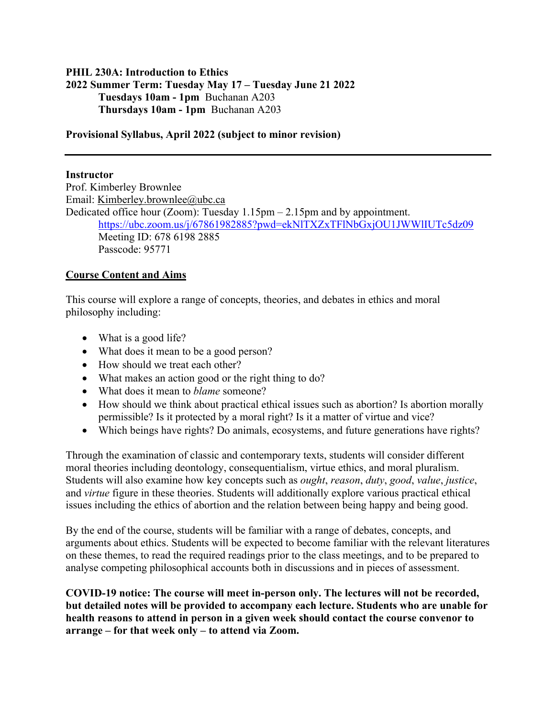## **PHIL 230A: Introduction to Ethics 2022 Summer Term: Tuesday May 17 – Tuesday June 21 2022 Tuesdays 10am - 1pm** Buchanan A203 **Thursdays 10am - 1pm** Buchanan A203

#### **Provisional Syllabus, April 2022 (subject to minor revision)**

#### **Instructor**

Prof. Kimberley Brownlee Email: Kimberley.brownlee@ubc.ca Dedicated office hour (Zoom): Tuesday 1.15pm – 2.15pm and by appointment. https://ubc.zoom.us/j/67861982885?pwd=ekNlTXZxTFlNbGxjOU1JWWlIUTc5dz09 Meeting ID: 678 6198 2885 Passcode: 95771

### **Course Content and Aims**

This course will explore a range of concepts, theories, and debates in ethics and moral philosophy including:

- What is a good life?
- What does it mean to be a good person?
- How should we treat each other?
- What makes an action good or the right thing to do?
- What does it mean to *blame* someone?
- How should we think about practical ethical issues such as abortion? Is abortion morally permissible? Is it protected by a moral right? Is it a matter of virtue and vice?
- Which beings have rights? Do animals, ecosystems, and future generations have rights?

Through the examination of classic and contemporary texts, students will consider different moral theories including deontology, consequentialism, virtue ethics, and moral pluralism. Students will also examine how key concepts such as *ought*, *reason*, *duty*, *good*, *value*, *justice*, and *virtue* figure in these theories. Students will additionally explore various practical ethical issues including the ethics of abortion and the relation between being happy and being good.

By the end of the course, students will be familiar with a range of debates, concepts, and arguments about ethics. Students will be expected to become familiar with the relevant literatures on these themes, to read the required readings prior to the class meetings, and to be prepared to analyse competing philosophical accounts both in discussions and in pieces of assessment.

**COVID-19 notice: The course will meet in-person only. The lectures will not be recorded, but detailed notes will be provided to accompany each lecture. Students who are unable for health reasons to attend in person in a given week should contact the course convenor to arrange – for that week only – to attend via Zoom.**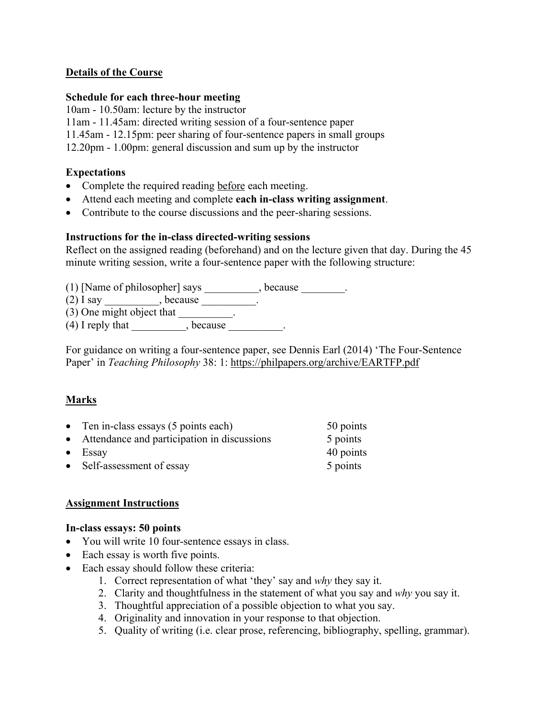## **Details of the Course**

### **Schedule for each three-hour meeting**

10am - 10.50am: lecture by the instructor

11am - 11.45am: directed writing session of a four-sentence paper

11.45am - 12.15pm: peer sharing of four-sentence papers in small groups

12.20pm - 1.00pm: general discussion and sum up by the instructor

## **Expectations**

- Complete the required reading before each meeting.
- Attend each meeting and complete **each in-class writing assignment**.
- Contribute to the course discussions and the peer-sharing sessions.

### **Instructions for the in-class directed-writing sessions**

Reflect on the assigned reading (beforehand) and on the lecture given that day. During the 45 minute writing session, write a four-sentence paper with the following structure:

(1) [Name of philosopher] says \_\_\_\_\_\_\_\_\_, because \_\_\_\_\_\_\_.

 $(2)$  I say \_\_\_\_\_\_\_\_\_, because \_\_\_\_\_\_\_\_\_\_.

 $(3)$  One might object that  $\qquad \qquad$ .

 $(4)$  I reply that  $(4)$ , because

For guidance on writing a four-sentence paper, see Dennis Earl (2014) 'The Four-Sentence Paper' in *Teaching Philosophy* 38: 1: https://philpapers.org/archive/EARTFP.pdf

## **Marks**

| • Ten in-class essays $(5 \text{ points each})$ | 50 points |
|-------------------------------------------------|-----------|
| • Attendance and participation in discussions   | 5 points  |
| $\bullet$ Essay                                 | 40 points |
| • Self-assessment of essay                      | 5 points  |

## **Assignment Instructions**

#### **In-class essays: 50 points**

- You will write 10 four-sentence essays in class.
- Each essay is worth five points.
- Each essay should follow these criteria:
	- 1. Correct representation of what 'they' say and *why* they say it.
	- 2. Clarity and thoughtfulness in the statement of what you say and *why* you say it.
	- 3. Thoughtful appreciation of a possible objection to what you say.
	- 4. Originality and innovation in your response to that objection.
	- 5. Quality of writing (i.e. clear prose, referencing, bibliography, spelling, grammar).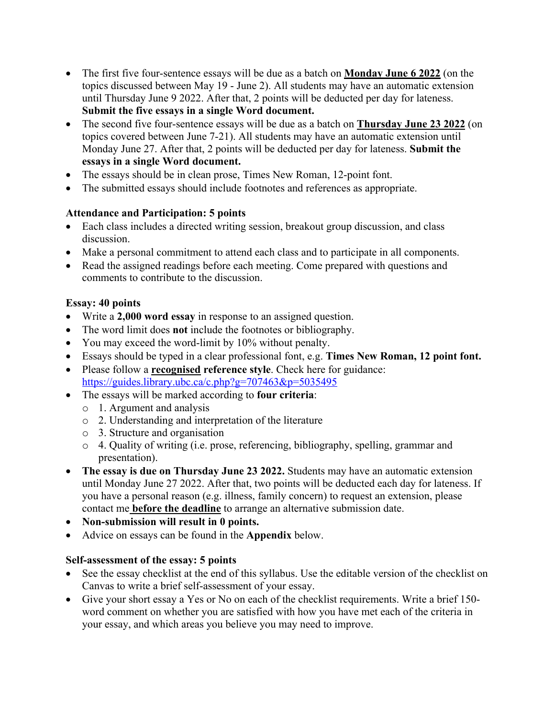- The first five four-sentence essays will be due as a batch on **Monday June 6 2022** (on the topics discussed between May 19 - June 2). All students may have an automatic extension until Thursday June 9 2022. After that, 2 points will be deducted per day for lateness. **Submit the five essays in a single Word document.**
- The second five four-sentence essays will be due as a batch on **Thursday June 23 2022** (on topics covered between June 7-21). All students may have an automatic extension until Monday June 27. After that, 2 points will be deducted per day for lateness. **Submit the essays in a single Word document.**
- The essays should be in clean prose, Times New Roman, 12-point font.
- The submitted essays should include footnotes and references as appropriate.

## **Attendance and Participation: 5 points**

- Each class includes a directed writing session, breakout group discussion, and class discussion.
- Make a personal commitment to attend each class and to participate in all components.
- Read the assigned readings before each meeting. Come prepared with questions and comments to contribute to the discussion.

## **Essay: 40 points**

- Write a **2,000 word essay** in response to an assigned question.
- The word limit does **not** include the footnotes or bibliography.
- You may exceed the word-limit by 10% without penalty.
- Essays should be typed in a clear professional font, e.g. **Times New Roman, 12 point font.**
- Please follow a **recognised reference style**. Check here for guidance: https://guides.library.ubc.ca/c.php?g=707463&p=5035495
- The essays will be marked according to **four criteria**:
	- o 1. Argument and analysis
	- o 2. Understanding and interpretation of the literature
	- o 3. Structure and organisation
	- o 4. Quality of writing (i.e. prose, referencing, bibliography, spelling, grammar and presentation).
- **The essay is due on Thursday June 23 2022.** Students may have an automatic extension until Monday June 27 2022. After that, two points will be deducted each day for lateness. If you have a personal reason (e.g. illness, family concern) to request an extension, please contact me **before the deadline** to arrange an alternative submission date.
- **Non-submission will result in 0 points.**
- Advice on essays can be found in the **Appendix** below.

## **Self-assessment of the essay: 5 points**

- See the essay checklist at the end of this syllabus. Use the editable version of the checklist on Canvas to write a brief self-assessment of your essay.
- Give your short essay a Yes or No on each of the checklist requirements. Write a brief 150 word comment on whether you are satisfied with how you have met each of the criteria in your essay, and which areas you believe you may need to improve.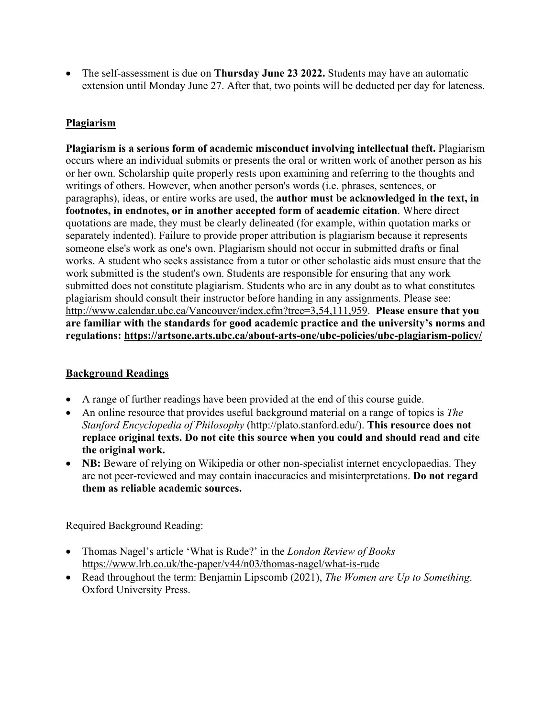• The self-assessment is due on **Thursday June 23 2022.** Students may have an automatic extension until Monday June 27. After that, two points will be deducted per day for lateness.

# **Plagiarism**

**Plagiarism is a serious form of academic misconduct involving intellectual theft.** Plagiarism occurs where an individual submits or presents the oral or written work of another person as his or her own. Scholarship quite properly rests upon examining and referring to the thoughts and writings of others. However, when another person's words (i.e. phrases, sentences, or paragraphs), ideas, or entire works are used, the **author must be acknowledged in the text, in footnotes, in endnotes, or in another accepted form of academic citation**. Where direct quotations are made, they must be clearly delineated (for example, within quotation marks or separately indented). Failure to provide proper attribution is plagiarism because it represents someone else's work as one's own. Plagiarism should not occur in submitted drafts or final works. A student who seeks assistance from a tutor or other scholastic aids must ensure that the work submitted is the student's own. Students are responsible for ensuring that any work submitted does not constitute plagiarism. Students who are in any doubt as to what constitutes plagiarism should consult their instructor before handing in any assignments. Please see: http://www.calendar.ubc.ca/Vancouver/index.cfm?tree=3,54,111,959. **Please ensure that you are familiar with the standards for good academic practice and the university's norms and regulations: https://artsone.arts.ubc.ca/about-arts-one/ubc-policies/ubc-plagiarism-policy/**

## **Background Readings**

- A range of further readings have been provided at the end of this course guide.
- An online resource that provides useful background material on a range of topics is *The Stanford Encyclopedia of Philosophy* (http://plato.stanford.edu/). **This resource does not replace original texts. Do not cite this source when you could and should read and cite the original work.**
- **NB:** Beware of relying on Wikipedia or other non-specialist internet encyclopaedias. They are not peer-reviewed and may contain inaccuracies and misinterpretations. **Do not regard them as reliable academic sources.**

Required Background Reading:

- Thomas Nagel's article 'What is Rude?' in the *London Review of Books* https://www.lrb.co.uk/the-paper/v44/n03/thomas-nagel/what-is-rude
- Read throughout the term: Benjamin Lipscomb (2021), *The Women are Up to Something*. Oxford University Press.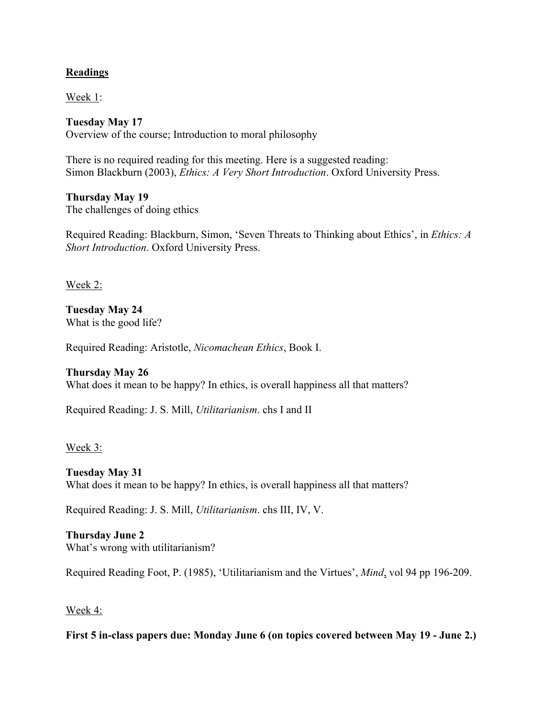## **Readings**

Week 1:

**Tuesday May 17** Overview of the course; Introduction to moral philosophy

There is no required reading for this meeting. Here is a suggested reading: Simon Blackburn (2003), *Ethics: A Very Short Introduction*. Oxford University Press.

**Thursday May 19** The challenges of doing ethics

Required Reading: Blackburn, Simon, 'Seven Threats to Thinking about Ethics', in *Ethics: A Short Introduction*. Oxford University Press.

Week 2:

**Tuesday May 24** What is the good life?

Required Reading: Aristotle, *Nicomachean Ethics*, Book I.

**Thursday May 26**

What does it mean to be happy? In ethics, is overall happiness all that matters?

Required Reading: J. S. Mill, *Utilitarianism*. chs I and II

Week 3:

**Tuesday May 31** What does it mean to be happy? In ethics, is overall happiness all that matters?

Required Reading: J. S. Mill, *Utilitarianism*. chs III, IV, V.

**Thursday June 2** What's wrong with utilitarianism?

Required Reading Foot, P. (1985), 'Utilitarianism and the Virtues', *Mind*, vol 94 pp 196-209.

Week 4:

**First 5 in-class papers due: Monday June 6 (on topics covered between May 19 - June 2.)**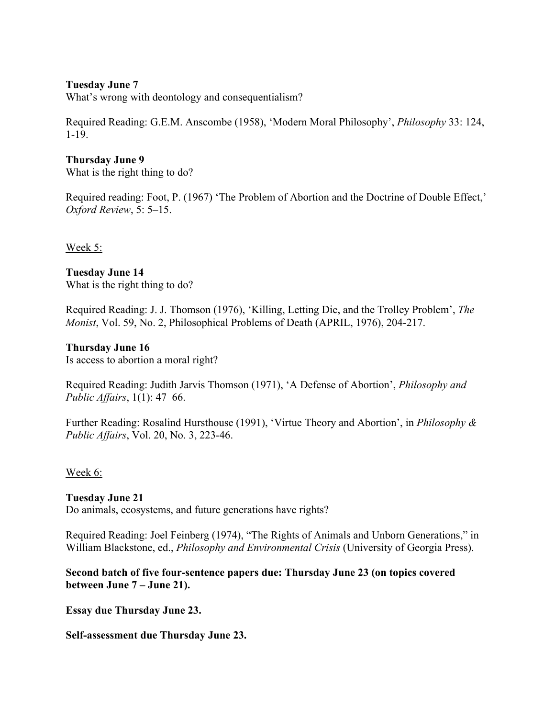### **Tuesday June 7**

What's wrong with deontology and consequentialism?

Required Reading: G.E.M. Anscombe (1958), 'Modern Moral Philosophy', *Philosophy* 33: 124, 1-19.

### **Thursday June 9**

What is the right thing to do?

Required reading: Foot, P. (1967) 'The Problem of Abortion and the Doctrine of Double Effect,' *Oxford Review*, 5: 5–15.

Week 5:

#### **Tuesday June 14** What is the right thing to do?

Required Reading: J. J. Thomson (1976), 'Killing, Letting Die, and the Trolley Problem', *The Monist*, Vol. 59, No. 2, Philosophical Problems of Death (APRIL, 1976), 204-217.

#### **Thursday June 16**

Is access to abortion a moral right?

Required Reading: Judith Jarvis Thomson (1971), 'A Defense of Abortion', *Philosophy and Public Affairs*, 1(1): 47–66.

Further Reading: Rosalind Hursthouse (1991), 'Virtue Theory and Abortion', in *Philosophy & Public Affairs*, Vol. 20, No. 3, 223-46.

## Week 6:

**Tuesday June 21** Do animals, ecosystems, and future generations have rights?

Required Reading: Joel Feinberg (1974), "The Rights of Animals and Unborn Generations," in William Blackstone, ed., *Philosophy and Environmental Crisis* (University of Georgia Press).

## **Second batch of five four-sentence papers due: Thursday June 23 (on topics covered between June 7 – June 21).**

**Essay due Thursday June 23.** 

**Self-assessment due Thursday June 23.**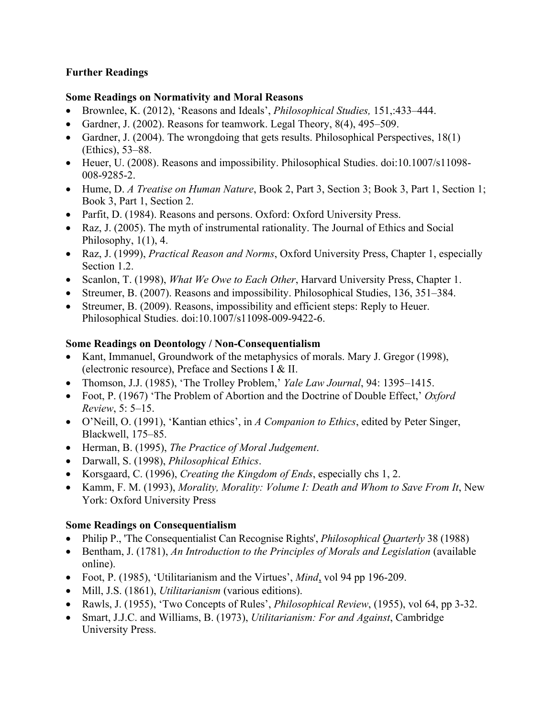# **Further Readings**

## **Some Readings on Normativity and Moral Reasons**

- Brownlee, K. (2012), 'Reasons and Ideals', *Philosophical Studies,* 151,:433–444.
- Gardner, J. (2002). Reasons for teamwork. Legal Theory, 8(4), 495–509.
- Gardner, J. (2004). The wrongdoing that gets results. Philosophical Perspectives, 18(1) (Ethics), 53–88.
- Heuer, U. (2008). Reasons and impossibility. Philosophical Studies. doi:10.1007/s11098- 008-9285-2.
- Hume, D. *A Treatise on Human Nature*, Book 2, Part 3, Section 3; Book 3, Part 1, Section 1; Book 3, Part 1, Section 2.
- Parfit, D. (1984). Reasons and persons. Oxford: Oxford University Press.
- Raz, J. (2005). The myth of instrumental rationality. The Journal of Ethics and Social Philosophy,  $1(1)$ , 4.
- Raz, J. (1999), *Practical Reason and Norms*, Oxford University Press, Chapter 1, especially Section 1.2.
- Scanlon, T. (1998), *What We Owe to Each Other*, Harvard University Press, Chapter 1.
- Streumer, B. (2007). Reasons and impossibility. Philosophical Studies, 136, 351–384.
- Streumer, B. (2009). Reasons, impossibility and efficient steps: Reply to Heuer. Philosophical Studies. doi:10.1007/s11098-009-9422-6.

## **Some Readings on Deontology / Non-Consequentialism**

- Kant, Immanuel, Groundwork of the metaphysics of morals. Mary J. Gregor (1998), (electronic resource), Preface and Sections I & II.
- Thomson, J.J. (1985), 'The Trolley Problem,' *Yale Law Journal*, 94: 1395–1415.
- Foot, P. (1967) 'The Problem of Abortion and the Doctrine of Double Effect,' *Oxford Review*, 5: 5–15.
- O'Neill, O. (1991), 'Kantian ethics', in *A Companion to Ethics*, edited by Peter Singer, Blackwell, 175–85.
- Herman, B. (1995), *The Practice of Moral Judgement*.
- Darwall, S. (1998), *Philosophical Ethics*.
- Korsgaard, C. (1996), *Creating the Kingdom of Ends*, especially chs 1, 2.
- Kamm, F. M. (1993), *Morality, Morality: Volume I: Death and Whom to Save From It*, New York: Oxford University Press

## **Some Readings on Consequentialism**

- Philip P., 'The Consequentialist Can Recognise Rights', *Philosophical Quarterly* 38 (1988)
- Bentham, J. (1781), *An Introduction to the Principles of Morals and Legislation* (available online).
- Foot, P. (1985), 'Utilitarianism and the Virtues', *Mind*, vol 94 pp 196-209.
- Mill, J.S. (1861), *Utilitarianism* (various editions).
- Rawls, J. (1955), 'Two Concepts of Rules', *Philosophical Review*, (1955), vol 64, pp 3-32.
- Smart, J.J.C. and Williams, B. (1973), *Utilitarianism: For and Against*, Cambridge University Press.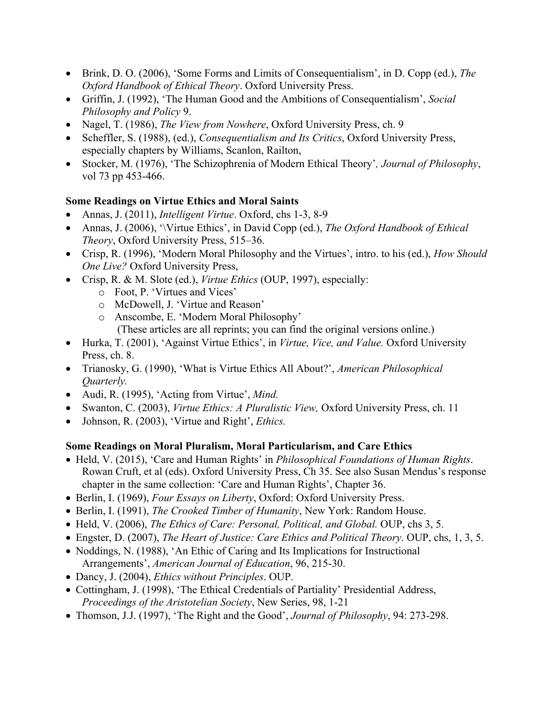- Brink, D. O. (2006), 'Some Forms and Limits of Consequentialism', in D. Copp (ed.), *The Oxford Handbook of Ethical Theory*. Oxford University Press.
- Griffin, J. (1992), 'The Human Good and the Ambitions of Consequentialism', *Social Philosophy and Policy* 9.
- Nagel, T. (1986), *The View from Nowhere*, Oxford University Press, ch. 9
- Scheffler, S. (1988), (ed.), *Consequentialism and Its Critics*, Oxford University Press, especially chapters by Williams, Scanlon, Railton,
- Stocker, M. (1976), 'The Schizophrenia of Modern Ethical Theory'*, Journal of Philosophy*, vol 73 pp 453-466.

## **Some Readings on Virtue Ethics and Moral Saints**

- Annas, J. (2011), *Intelligent Virtue*. Oxford, chs 1-3, 8-9
- Annas, J. (2006), '\Virtue Ethics', in David Copp (ed.), *The Oxford Handbook of Ethical Theory*, Oxford University Press, 515–36.
- Crisp, R. (1996), 'Modern Moral Philosophy and the Virtues', intro. to his (ed.), *How Should One Live?* Oxford University Press,
- Crisp, R. & M. Slote (ed.), *Virtue Ethics* (OUP, 1997), especially:
	- o Foot, P. 'Virtues and Vices'
	- o McDowell, J. 'Virtue and Reason'
	- o Anscombe, E. 'Modern Moral Philosophy' (These articles are all reprints; you can find the original versions online.)
- Hurka, T. (2001), 'Against Virtue Ethics', in *Virtue, Vice, and Value.* Oxford University Press, ch. 8.
- Trianosky, G. (1990), 'What is Virtue Ethics All About?', *American Philosophical Quarterly.*
- Audi, R. (1995), 'Acting from Virtue', *Mind.*
- Swanton, C. (2003), *Virtue Ethics: A Pluralistic View,* Oxford University Press, ch. 11
- Johnson, R. (2003), 'Virtue and Right', *Ethics.*

## **Some Readings on Moral Pluralism, Moral Particularism, and Care Ethics**

- Held, V. (2015), 'Care and Human Rights' in *Philosophical Foundations of Human Rights*. Rowan Cruft, et al (eds). Oxford University Press, Ch 35. See also Susan Mendus's response chapter in the same collection: 'Care and Human Rights', Chapter 36.
- Berlin, I. (1969), *Four Essays on Liberty*, Oxford: Oxford University Press.
- Berlin, I. (1991), *The Crooked Timber of Humanity*, New York: Random House.
- Held, V. (2006), *The Ethics of Care: Personal, Political, and Global.* OUP, chs 3, 5.
- Engster, D. (2007), *The Heart of Justice: Care Ethics and Political Theory*. OUP, chs, 1, 3, 5.
- Noddings, N. (1988), 'An Ethic of Caring and Its Implications for Instructional Arrangements', *American Journal of Education*, 96, 215-30.
- Dancy, J. (2004), *Ethics without Principles*. OUP.
- Cottingham, J. (1998), 'The Ethical Credentials of Partiality' Presidential Address, *Proceedings of the Aristotelian Society*, New Series, 98, 1-21
- Thomson, J.J. (1997), 'The Right and the Good', *Journal of Philosophy*, 94: 273-298.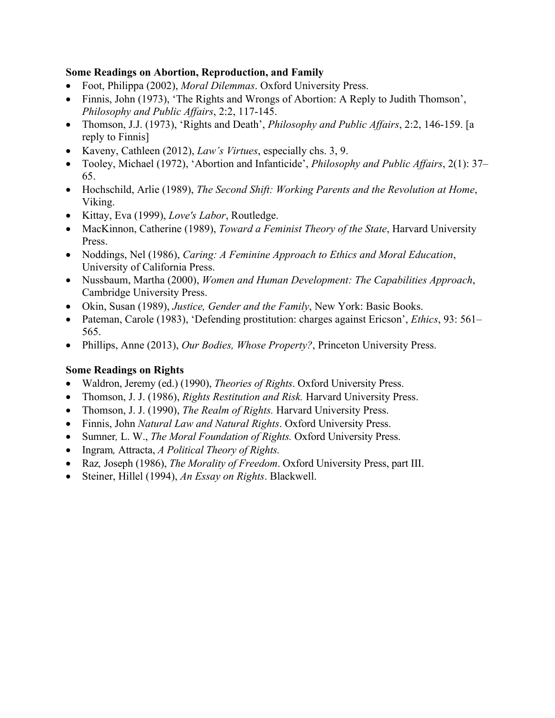## **Some Readings on Abortion, Reproduction, and Family**

- Foot, Philippa (2002), *Moral Dilemmas*. Oxford University Press.
- Finnis, John (1973), 'The Rights and Wrongs of Abortion: A Reply to Judith Thomson', *Philosophy and Public Affairs*, 2:2, 117-145.
- Thomson, J.J. (1973), 'Rights and Death', *Philosophy and Public Affairs*, 2:2, 146-159. [a reply to Finnis]
- Kaveny, Cathleen (2012), *Law's Virtues*, especially chs. 3, 9.
- Tooley, Michael (1972), 'Abortion and Infanticide', *Philosophy and Public Affairs*, 2(1): 37– 65.
- Hochschild, Arlie (1989), *The Second Shift: Working Parents and the Revolution at Home*, Viking.
- Kittay, Eva (1999), *Love's Labor*, Routledge.
- MacKinnon, Catherine (1989), *Toward a Feminist Theory of the State*, Harvard University Press.
- Noddings, Nel (1986), *Caring: A Feminine Approach to Ethics and Moral Education*, University of California Press.
- Nussbaum, Martha (2000), *Women and Human Development: The Capabilities Approach*, Cambridge University Press.
- Okin, Susan (1989), *Justice, Gender and the Family*, New York: Basic Books.
- Pateman, Carole (1983), 'Defending prostitution: charges against Ericson', *Ethics*, 93: 561– 565.
- Phillips, Anne (2013), *Our Bodies, Whose Property?*, Princeton University Press.

# **Some Readings on Rights**

- Waldron, Jeremy (ed.) (1990), *Theories of Rights*. Oxford University Press.
- Thomson, J. J. (1986), *Rights Restitution and Risk.* Harvard University Press.
- Thomson, J. J. (1990), *The Realm of Rights.* Harvard University Press.
- Finnis, John *Natural Law and Natural Rights*. Oxford University Press.
- Sumner*,* L. W., *The Moral Foundation of Rights.* Oxford University Press.
- Ingram*,* Attracta, *A Political Theory of Rights.*
- Raz*,* Joseph (1986), *The Morality of Freedom*. Oxford University Press, part III.
- Steiner, Hillel (1994), *An Essay on Rights*. Blackwell.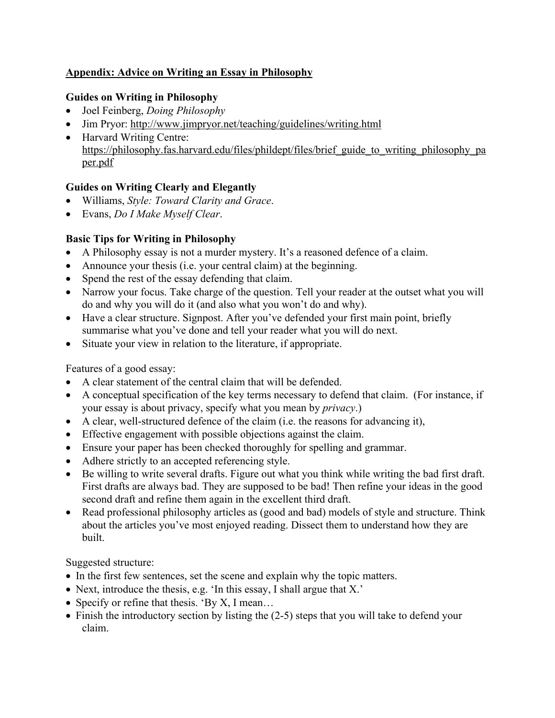# **Appendix: Advice on Writing an Essay in Philosophy**

# **Guides on Writing in Philosophy**

- Joel Feinberg, *Doing Philosophy*
- Jim Pryor: http://www.jimpryor.net/teaching/guidelines/writing.html
- Harvard Writing Centre: https://philosophy.fas.harvard.edu/files/phildept/files/brief\_guide\_to\_writing\_philosophy\_pa per.pdf

# **Guides on Writing Clearly and Elegantly**

- Williams, *Style: Toward Clarity and Grace*.
- Evans, *Do I Make Myself Clear*.

# **Basic Tips for Writing in Philosophy**

- A Philosophy essay is not a murder mystery. It's a reasoned defence of a claim.
- Announce your thesis (i.e. your central claim) at the beginning.
- Spend the rest of the essay defending that claim.
- Narrow your focus. Take charge of the question. Tell your reader at the outset what you will do and why you will do it (and also what you won't do and why).
- Have a clear structure. Signpost. After you've defended your first main point, briefly summarise what you've done and tell your reader what you will do next.
- Situate your view in relation to the literature, if appropriate.

# Features of a good essay:

- A clear statement of the central claim that will be defended.
- A conceptual specification of the key terms necessary to defend that claim. (For instance, if your essay is about privacy, specify what you mean by *privacy*.)
- A clear, well-structured defence of the claim (i.e. the reasons for advancing it),
- Effective engagement with possible objections against the claim.
- Ensure your paper has been checked thoroughly for spelling and grammar.
- Adhere strictly to an accepted referencing style.
- Be willing to write several drafts. Figure out what you think while writing the bad first draft. First drafts are always bad. They are supposed to be bad! Then refine your ideas in the good second draft and refine them again in the excellent third draft.
- Read professional philosophy articles as (good and bad) models of style and structure. Think about the articles you've most enjoyed reading. Dissect them to understand how they are built.

Suggested structure:

- In the first few sentences, set the scene and explain why the topic matters.
- Next, introduce the thesis, e.g. 'In this essay, I shall argue that X.'
- Specify or refine that thesis. 'By X, I mean...
- Finish the introductory section by listing the (2-5) steps that you will take to defend your claim.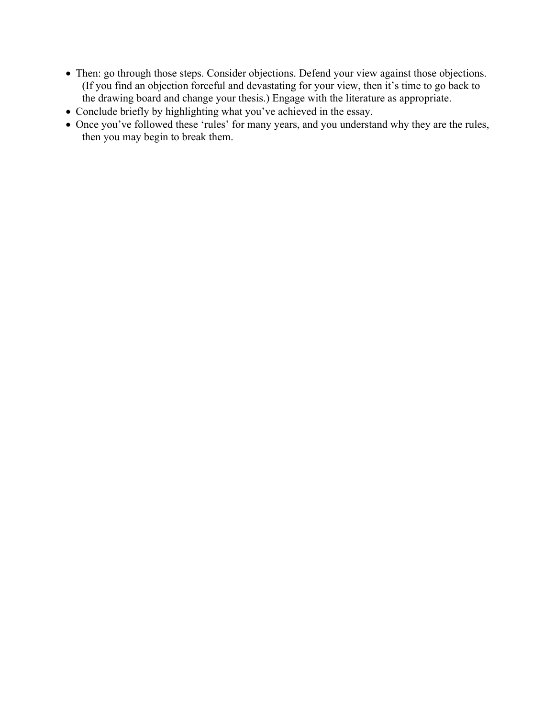- Then: go through those steps. Consider objections. Defend your view against those objections. (If you find an objection forceful and devastating for your view, then it's time to go back to the drawing board and change your thesis.) Engage with the literature as appropriate.
- Conclude briefly by highlighting what you've achieved in the essay.
- Once you've followed these 'rules' for many years, and you understand why they are the rules, then you may begin to break them.